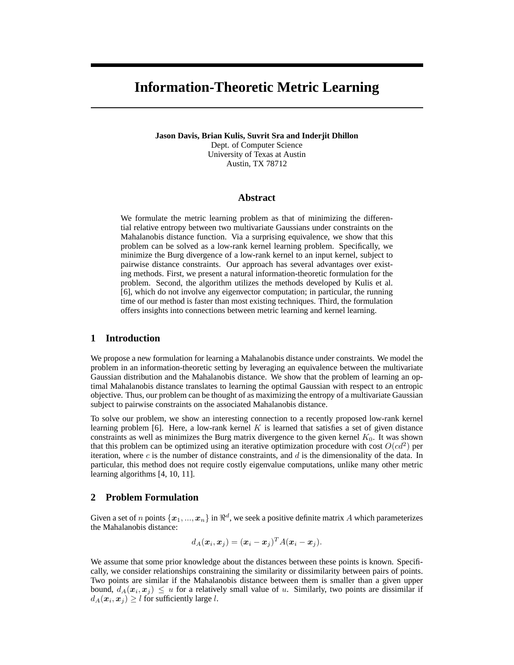# **Information-Theoretic Metric Learning**

**Jason Davis, Brian Kulis, Suvrit Sra and Inderjit Dhillon** Dept. of Computer Science University of Texas at Austin Austin, TX 78712

## **Abstract**

We formulate the metric learning problem as that of minimizing the differential relative entropy between two multivariate Gaussians under constraints on the Mahalanobis distance function. Via a surprising equivalence, we show that this problem can be solved as a low-rank kernel learning problem. Specifically, we minimize the Burg divergence of a low-rank kernel to an input kernel, subject to pairwise distance constraints. Our approach has several advantages over existing methods. First, we present a natural information-theoretic formulation for the problem. Second, the algorithm utilizes the methods developed by Kulis et al. [6], which do not involve any eigenvector computation; in particular, the running time of our method is faster than most existing techniques. Third, the formulation offers insights into connections between metric learning and kernel learning.

# **1 Introduction**

We propose a new formulation for learning a Mahalanobis distance under constraints. We model the problem in an information-theoretic setting by leveraging an equivalence between the multivariate Gaussian distribution and the Mahalanobis distance. We show that the problem of learning an optimal Mahalanobis distance translates to learning the optimal Gaussian with respect to an entropic objective. Thus, our problem can be thought of as maximizing the entropy of a multivariate Gaussian subject to pairwise constraints on the associated Mahalanobis distance.

To solve our problem, we show an interesting connection to a recently proposed low-rank kernel learning problem [6]. Here, a low-rank kernel  $K$  is learned that satisfies a set of given distance constraints as well as minimizes the Burg matrix divergence to the given kernel  $K_0$ . It was shown that this problem can be optimized using an iterative optimization procedure with cost  $O(cd^2)$  per iteration, where  $c$  is the number of distance constraints, and  $d$  is the dimensionality of the data. In particular, this method does not require costly eigenvalue computations, unlike many other metric learning algorithms [4, 10, 11].

# **2 Problem Formulation**

Given a set of n points  $\{\boldsymbol{x}_1,...,\boldsymbol{x}_n\}$  in  $\Re^d$ , we seek a positive definite matrix A which parameterizes the Mahalanobis distance:

$$
d_A(\boldsymbol{x}_i, \boldsymbol{x}_j) = (\boldsymbol{x}_i - \boldsymbol{x}_j)^T A(\boldsymbol{x}_i - \boldsymbol{x}_j).
$$

We assume that some prior knowledge about the distances between these points is known. Specifically, we consider relationships constraining the similarity or dissimilarity between pairs of points. Two points are similar if the Mahalanobis distance between them is smaller than a given upper bound,  $d_A(\mathbf{x}_i, \mathbf{x}_j) \leq u$  for a relatively small value of u. Similarly, two points are dissimilar if  $d_A(\boldsymbol{x}_i, \boldsymbol{x}_j) \geq l$  for sufficiently large l.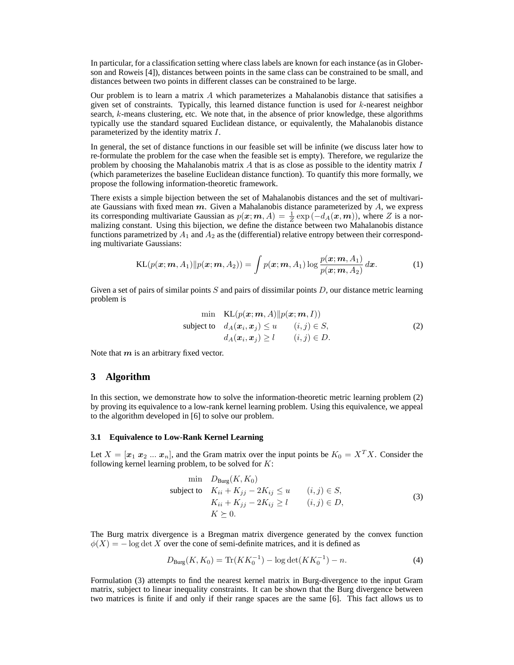In particular, for a classification setting where class labels are known for each instance (as in Globerson and Roweis [4]), distances between points in the same class can be constrained to be small, and distances between two points in different classes can be constrained to be large.

Our problem is to learn a matrix A which parameterizes a Mahalanobis distance that satisifies a given set of constraints. Typically, this learned distance function is used for  $k$ -nearest neighbor search, k-means clustering, etc. We note that, in the absence of prior knowledge, these algorithms typically use the standard squared Euclidean distance, or equivalently, the Mahalanobis distance parameterized by the identity matrix I.

In general, the set of distance functions in our feasible set will be infinite (we discuss later how to re-formulate the problem for the case when the feasible set is empty). Therefore, we regularize the problem by choosing the Mahalanobis matrix  $A$  that is as close as possible to the identity matrix  $I$ (which parameterizes the baseline Euclidean distance function). To quantify this more formally, we propose the following information-theoretic framework.

There exists a simple bijection between the set of Mahalanobis distances and the set of multivariate Gaussians with fixed mean  $m$ . Given a Mahalanobis distance parameterized by  $A$ , we express its corresponding multivariate Gaussian as  $p(x; m, A) = \frac{1}{Z} \exp(-d_A(x, m))$ , where Z is a normalizing constant. Using this bijection, we define the distance between two Mahalanobis distance functions parametrized by  $A_1$  and  $A_2$  as the (differential) relative entropy between their corresponding multivariate Gaussians:

$$
KL(p(\boldsymbol{x};\boldsymbol{m},A_1)||p(\boldsymbol{x};\boldsymbol{m},A_2)) = \int p(\boldsymbol{x};\boldsymbol{m},A_1) \log \frac{p(\boldsymbol{x};\boldsymbol{m},A_1)}{p(\boldsymbol{x};\boldsymbol{m},A_2)} d\boldsymbol{x}.
$$
 (1)

Given a set of pairs of similar points  $S$  and pairs of dissimilar points  $D$ , our distance metric learning problem is

$$
\min \quad \text{KL}(p(\mathbf{x}; \mathbf{m}, A) \| p(\mathbf{x}; \mathbf{m}, I))
$$
\n
$$
\text{subject to} \quad d_A(\mathbf{x}_i, \mathbf{x}_j) \le u \qquad (i, j) \in S, \\
 d_A(\mathbf{x}_i, \mathbf{x}_j) \ge l \qquad (i, j) \in D.
$$
\n
$$
(2)
$$

Note that  $m$  is an arbitrary fixed vector.

## **3 Algorithm**

In this section, we demonstrate how to solve the information-theoretic metric learning problem (2) by proving its equivalence to a low-rank kernel learning problem. Using this equivalence, we appeal to the algorithm developed in [6] to solve our problem.

#### **3.1 Equivalence to Low-Rank Kernel Learning**

Let  $X = [\mathbf{x}_1 \ \mathbf{x}_2 \ \dots \ \mathbf{x}_n]$ , and the Gram matrix over the input points be  $K_0 = X^T X$ . Consider the following kernel learning problem, to be solved for  $K$ :

$$
\begin{aligned}\n\min \quad & D_{\text{Burg}}(K, K_0) \\
\text{subject to} \quad & K_{ii} + K_{jj} - 2K_{ij} \le u \qquad (i, j) \in S, \\
& K_{ii} + K_{jj} - 2K_{ij} \ge l \qquad (i, j) \in D, \\
& K \ge 0.\n\end{aligned} \tag{3}
$$

The Burg matrix divergence is a Bregman matrix divergence generated by the convex function  $\phi(X) = -\log \det X$  over the cone of semi-definite matrices, and it is defined as

$$
D_{\text{Burg}}(K, K_0) = \text{Tr}(KK_0^{-1}) - \log \det(KK_0^{-1}) - n. \tag{4}
$$

Formulation (3) attempts to find the nearest kernel matrix in Burg-divergence to the input Gram matrix, subject to linear inequality constraints. It can be shown that the Burg divergence between two matrices is finite if and only if their range spaces are the same [6]. This fact allows us to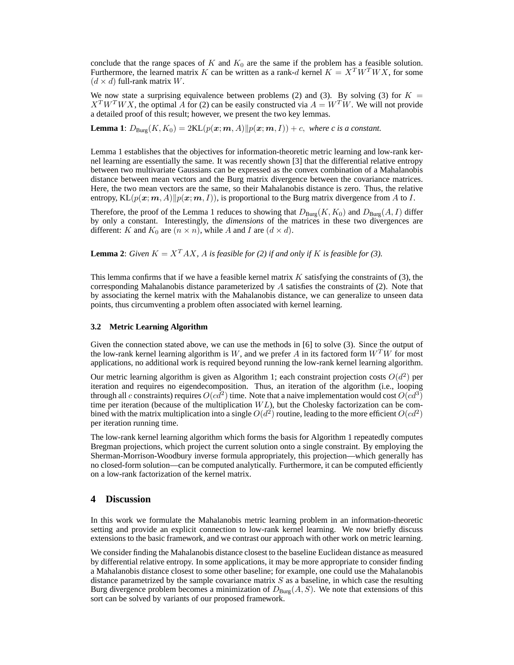conclude that the range spaces of  $K$  and  $K_0$  are the same if the problem has a feasible solution. Furthermore, the learned matrix K can be written as a rank-d kernel  $K = X<sup>T</sup> W<sup>T</sup> W X$ , for some  $(d \times d)$  full-rank matrix W.

We now state a surprising equivalence between problems (2) and (3). By solving (3) for  $K =$  $X<sup>T</sup>W<sup>T</sup>WX$ , the optimal A for (2) can be easily constructed via  $A = W<sup>T</sup>W$ . We will not provide a detailed proof of this result; however, we present the two key lemmas.

**Lemma 1**:  $D_{\text{Burg}}(K, K_0) = 2\text{KL}(p(\mathbf{x}; \mathbf{m}, A)||p(\mathbf{x}; \mathbf{m}, I)) + c$ , *where c is a constant.* 

Lemma 1 establishes that the objectives for information-theoretic metric learning and low-rank kernel learning are essentially the same. It was recently shown [3] that the differential relative entropy between two multivariate Gaussians can be expressed as the convex combination of a Mahalanobis distance between mean vectors and the Burg matrix divergence between the covariance matrices. Here, the two mean vectors are the same, so their Mahalanobis distance is zero. Thus, the relative entropy,  $KL(p(x; m, A)||p(x; m, I))$ , is proportional to the Burg matrix divergence from A to I.

Therefore, the proof of the Lemma 1 reduces to showing that  $D_{\text{Burg}}(K,K_0)$  and  $D_{\text{Burg}}(A,I)$  differ by only a constant. Interestingly, the *dimensions* of the matrices in these two divergences are different: K and  $K_0$  are  $(n \times n)$ , while A and I are  $(d \times d)$ .

**Lemma 2**: *Given*  $K = X^T A X$ , *A is feasible for* (2) *if and only if K is feasible for* (3).

This lemma confirms that if we have a feasible kernel matrix  $K$  satisfying the constraints of (3), the corresponding Mahalanobis distance parameterized by  $A$  satisfies the constraints of (2). Note that by associating the kernel matrix with the Mahalanobis distance, we can generalize to unseen data points, thus circumventing a problem often associated with kernel learning.

#### **3.2 Metric Learning Algorithm**

Given the connection stated above, we can use the methods in [6] to solve (3). Since the output of the low-rank kernel learning algorithm is W, and we prefer A in its factored form  $W<sup>T</sup>W$  for most applications, no additional work is required beyond running the low-rank kernel learning algorithm.

Our metric learning algorithm is given as Algorithm 1; each constraint projection costs  $O(d^2)$  per iteration and requires no eigendecomposition. Thus, an iteration of the algorithm (i.e., looping through all c constraints) requires  $O(cd^2)$  time. Note that a naive implementation would cost  $O(cd^3)$ time per iteration (because of the multiplication  $WL$ ), but the Cholesky factorization can be combined with the matrix multiplication into a single  $O(d^2)$  routine, leading to the more efficient  $O(cd^2)$ per iteration running time.

The low-rank kernel learning algorithm which forms the basis for Algorithm 1 repeatedly computes Bregman projections, which project the current solution onto a single constraint. By employing the Sherman-Morrison-Woodbury inverse formula appropriately, this projection—which generally has no closed-form solution—can be computed analytically. Furthermore, it can be computed efficiently on a low-rank factorization of the kernel matrix.

# **4 Discussion**

In this work we formulate the Mahalanobis metric learning problem in an information-theoretic setting and provide an explicit connection to low-rank kernel learning. We now briefly discuss extensions to the basic framework, and we contrast our approach with other work on metric learning.

We consider finding the Mahalanobis distance closest to the baseline Euclidean distance as measured by differential relative entropy. In some applications, it may be more appropriate to consider finding a Mahalanobis distance closest to some other baseline; for example, one could use the Mahalanobis distance parametrized by the sample covariance matrix  $S$  as a baseline, in which case the resulting Burg divergence problem becomes a minimization of  $D_{\text{Burg}}(A, S)$ . We note that extensions of this sort can be solved by variants of our proposed framework.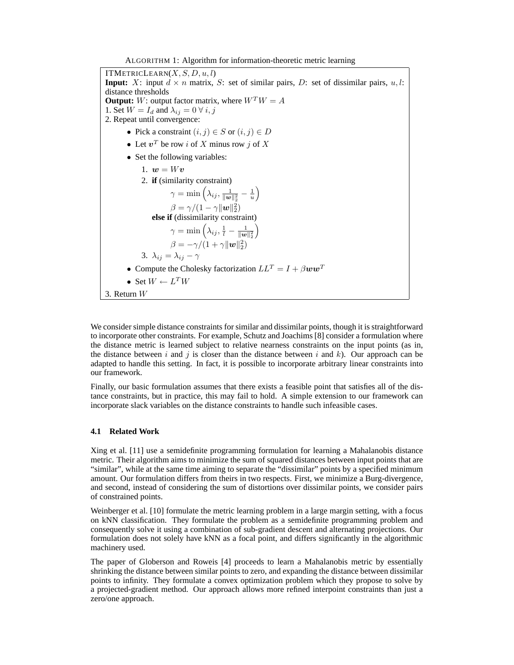ITMETRICLEARN $(X, S, D, u, l)$ **Input:** X: input  $d \times n$  matrix, S: set of similar pairs, D: set of dissimilar pairs, u, l: distance thresholds **Output:** W: output factor matrix, where  $W^T W = A$ 1. Set  $W = I_d$  and  $\lambda_{ij} = 0 \ \forall i, j$ 2. Repeat until convergence: • Pick a constraint  $(i, j) \in S$  or  $(i, j) \in D$ • Let  $v^T$  be row i of X minus row j of X • Set the following variables: 1.  $\mathbf{w} = W\mathbf{v}$ 2. **if** (similarity constraint)  $\gamma = \min\left(\lambda_{ij}, \frac{1}{\|\boldsymbol{w}\|_2^2} - \frac{1}{u}\right)$  $\frac{1}{u}$  $\beta = \gamma/(1-\gamma||\boldsymbol{w}||_2^2)$ **else if** (dissimilarity constraint)  $\gamma = \min \left( \lambda_{ij}, \frac{1}{l} - \frac{1}{\| \boldsymbol{w} \|_2^2} \right)$  $\beta = -\gamma/(\mathbb{1} + \gamma \|\boldsymbol{w}\|_2^2)$ 3.  $\lambda_{ij} = \lambda_{ij} - \gamma$ • Compute the Cholesky factorization  $LL^T = I + \beta w w^T$ • Set  $W \leftarrow L^T W$ 3. Return W

We consider simple distance constraints for similar and dissimilar points, though it is straightforward to incorporate other constraints. For example, Schutz and Joachims [8] consider a formulation where the distance metric is learned subject to relative nearness constraints on the input points (as in, the distance between i and j is closer than the distance between i and k). Our approach can be adapted to handle this setting. In fact, it is possible to incorporate arbitrary linear constraints into our framework.

Finally, our basic formulation assumes that there exists a feasible point that satisfies all of the distance constraints, but in practice, this may fail to hold. A simple extension to our framework can incorporate slack variables on the distance constraints to handle such infeasible cases.

## **4.1 Related Work**

Xing et al. [11] use a semidefinite programming formulation for learning a Mahalanobis distance metric. Their algorithm aims to minimize the sum of squared distances between input points that are "similar", while at the same time aiming to separate the "dissimilar" points by a specified minimum amount. Our formulation differs from theirs in two respects. First, we minimize a Burg-divergence, and second, instead of considering the sum of distortions over dissimilar points, we consider pairs of constrained points.

Weinberger et al. [10] formulate the metric learning problem in a large margin setting, with a focus on kNN classification. They formulate the problem as a semidefinite programming problem and consequently solve it using a combination of sub-gradient descent and alternating projections. Our formulation does not solely have kNN as a focal point, and differs significantly in the algorithmic machinery used.

The paper of Globerson and Roweis [4] proceeds to learn a Mahalanobis metric by essentially shrinking the distance between similar points to zero, and expanding the distance between dissimilar points to infinity. They formulate a convex optimization problem which they propose to solve by a projected-gradient method. Our approach allows more refined interpoint constraints than just a zero/one approach.

ALGORITHM 1: Algorithm for information-theoretic metric learning